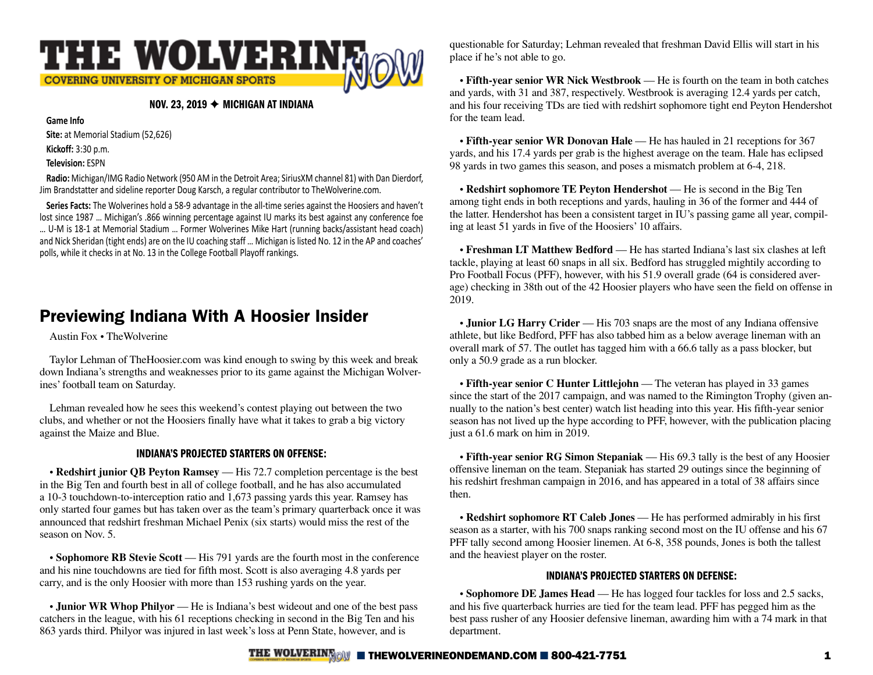

#### NOV. 23, 2019  $\rightarrow$  MICHIGAN AT INDIANA

**Game Info**

**Site:** at Memorial Stadium (52,626)

**Kickoff:** 3:30 p.m.

#### **Television:** ESPN

**Radio:** Michigan/IMG Radio Network (950 AM in the Detroit Area; SiriusXM channel 81) with Dan Dierdorf, Jim Brandstatter and sideline reporter Doug Karsch, a regular contributor to TheWolverine.com.

**Series Facts:** The Wolverines hold a 58-9 advantage in the all-time series against the Hoosiers and haven't lost since 1987 … Michigan's .866 winning percentage against IU marks its best against any conference foe … U-M is 18-1 at Memorial Stadium … Former Wolverines Mike Hart (running backs/assistant head coach) and Nick Sheridan (tight ends) are on the IU coaching staff … Michigan is listed No. 12 in the AP and coaches' polls, while it checks in at No. 13 in the College Football Playoff rankings.

# Previewing Indiana With A Hoosier Insider

Austin Fox • TheWolverine

Taylor Lehman of TheHoosier.com was kind enough to swing by this week and break down Indiana's strengths and weaknesses prior to its game against the Michigan Wolverines' football team on Saturday.

Lehman revealed how he sees this weekend's contest playing out between the two clubs, and whether or not the Hoosiers finally have what it takes to grab a big victory against the Maize and Blue.

#### INDIANA'S PROJECTED STARTERS ON OFFENSE:

• Redshirt junior QB Peyton Ramsey — His 72.7 completion percentage is the best in the Big Ten and fourth best in all of college football, and he has also accumulated a 10-3 touchdown-to-interception ratio and 1,673 passing yards this year. Ramsey has only started four games but has taken over as the team's primary quarterback once it was announced that redshirt freshman Michael Penix (six starts) would miss the rest of the season on Nov. 5.

**• Sophomore RB Stevie Scott** — His 791 yards are the fourth most in the conference and his nine touchdowns are tied for fifth most. Scott is also averaging 4.8 yards per carry, and is the only Hoosier with more than 153 rushing yards on the year.

• **Junior WR Whop Philyor** — He is Indiana's best wideout and one of the best pass catchers in the league, with his 61 receptions checking in second in the Big Ten and his 863 yards third. Philyor was injured in last week's loss at Penn State, however, and is

questionable for Saturday; Lehman revealed that freshman David Ellis will start in his place if he's not able to go.

**• Fifth-year senior WR Nick Westbrook** — He is fourth on the team in both catches and yards, with 31 and 387, respectively. Westbrook is averaging 12.4 yards per catch, and his four receiving TDs are tied with redshirt sophomore tight end Peyton Hendershot for the team lead.

**• Fifth-year senior WR Donovan Hale** — He has hauled in 21 receptions for 367 yards, and his 17.4 yards per grab is the highest average on the team. Hale has eclipsed 98 yards in two games this season, and poses a mismatch problem at 6-4, 218.

• Redshirt sophomore TE Peyton Hendershot — He is second in the Big Ten among tight ends in both receptions and yards, hauling in 36 of the former and 444 of the latter. Hendershot has been a consistent target in IU's passing game all year, compiling at least 51 yards in five of the Hoosiers' 10 affairs.

**• Freshman LT Matthew Bedford** — He has started Indiana's last six clashes at left tackle, playing at least 60 snaps in all six. Bedford has struggled mightily according to Pro Football Focus (PFF), however, with his 51.9 overall grade (64 is considered average) checking in 38th out of the 42 Hoosier players who have seen the field on offense in 2019.

• **Junior LG Harry Crider** — His 703 snaps are the most of any Indiana offensive athlete, but like Bedford, PFF has also tabbed him as a below average lineman with an overall mark of 57. The outlet has tagged him with a 66.6 tally as a pass blocker, but only a 50.9 grade as a run blocker.

• Fifth-year senior C Hunter Littlejohn — The veteran has played in 33 games since the start of the 2017 campaign, and was named to the Rimington Trophy (given annually to the nation's best center) watch list heading into this year. His fifth-year senior season has not lived up the hype according to PFF, however, with the publication placing just a 61.6 mark on him in 2019.

**• Fifth-year senior RG Simon Stepaniak** — His 69.3 tally is the best of any Hoosier offensive lineman on the team. Stepaniak has started 29 outings since the beginning of his redshirt freshman campaign in 2016, and has appeared in a total of 38 affairs since then.

**• Redshirt sophomore RT Caleb Jones** — He has performed admirably in his first season as a starter, with his 700 snaps ranking second most on the IU offense and his 67 PFF tally second among Hoosier linemen. At 6-8, 358 pounds, Jones is both the tallest and the heaviest player on the roster.

#### INDIANA'S PROJECTED STARTERS ON DEFENSE:

**• Sophomore DE James Head** — He has logged four tackles for loss and 2.5 sacks, and his five quarterback hurries are tied for the team lead. PFF has pegged him as the best pass rusher of any Hoosier defensive lineman, awarding him with a 74 mark in that department.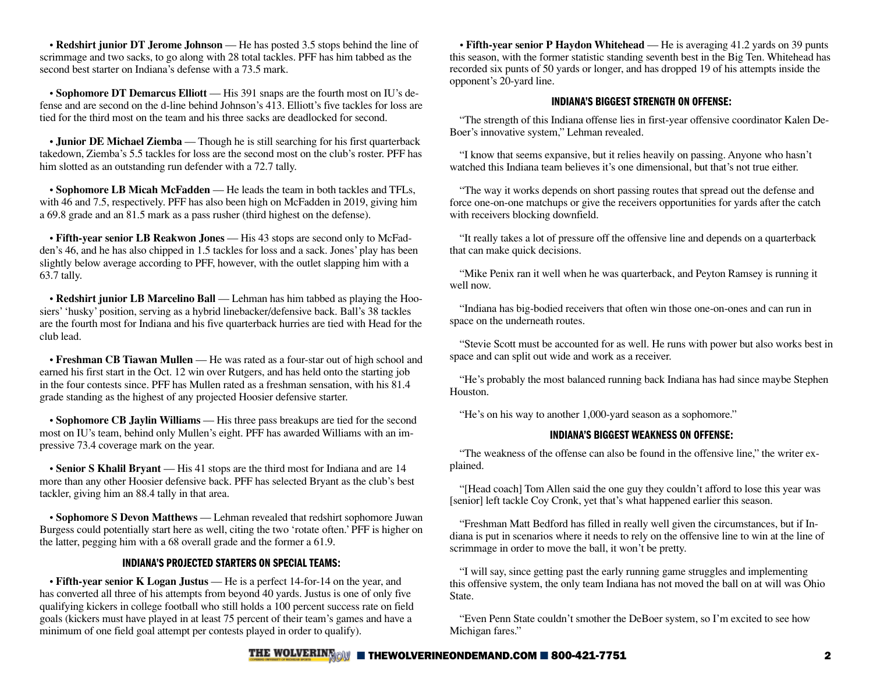• **Redshirt junior DT Jerome Johnson** — He has posted 3.5 stops behind the line of scrimmage and two sacks, to go along with 28 total tackles. PFF has him tabbed as the second best starter on Indiana's defense with a 73.5 mark.

**• Sophomore DT Demarcus Elliott** — His 391 snaps are the fourth most on IU's defense and are second on the d-line behind Johnson's 413. Elliott's five tackles for loss are tied for the third most on the team and his three sacks are deadlocked for second.

**• Junior DE Michael Ziemba** — Though he is still searching for his first quarterback takedown, Ziemba's 5.5 tackles for loss are the second most on the club's roster. PFF has him slotted as an outstanding run defender with a 72.7 tally.

**• Sophomore LB Micah McFadden** — He leads the team in both tackles and TFLs, with 46 and 7.5, respectively. PFF has also been high on McFadden in 2019, giving him a 69.8 grade and an 81.5 mark as a pass rusher (third highest on the defense).

**• Fifth-year senior LB Reakwon Jones** — His 43 stops are second only to McFadden's 46, and he has also chipped in 1.5 tackles for loss and a sack. Jones' play has been slightly below average according to PFF, however, with the outlet slapping him with a 63.7 tally.

**• Redshirt junior LB Marcelino Ball** — Lehman has him tabbed as playing the Hoosiers' 'husky' position, serving as a hybrid linebacker/defensive back. Ball's 38 tackles are the fourth most for Indiana and his five quarterback hurries are tied with Head for the club lead.

**• Freshman CB Tiawan Mullen** — He was rated as a four-star out of high school and earned his first start in the Oct. 12 win over Rutgers, and has held onto the starting job in the four contests since. PFF has Mullen rated as a freshman sensation, with his 81.4 grade standing as the highest of any projected Hoosier defensive starter.

**• Sophomore CB Jaylin Williams** — His three pass breakups are tied for the second most on IU's team, behind only Mullen's eight. PFF has awarded Williams with an impressive 73.4 coverage mark on the year.

**• Senior S Khalil Bryant** — His 41 stops are the third most for Indiana and are 14 more than any other Hoosier defensive back. PFF has selected Bryant as the club's best tackler, giving him an 88.4 tally in that area.

**• Sophomore S Devon Matthews** — Lehman revealed that redshirt sophomore Juwan Burgess could potentially start here as well, citing the two 'rotate often.' PFF is higher on the latter, pegging him with a 68 overall grade and the former a 61.9.

#### INDIANA'S PROJECTED STARTERS ON SPECIAL TEAMS:

• Fifth-year senior **K** Logan Justus — He is a perfect 14-for-14 on the year, and has converted all three of his attempts from beyond 40 yards. Justus is one of only five qualifying kickers in college football who still holds a 100 percent success rate on field goals (kickers must have played in at least 75 percent of their team's games and have a minimum of one field goal attempt per contests played in order to qualify).

• **Fifth-year senior P Haydon Whitehead** — He is averaging 41.2 yards on 39 punts this season, with the former statistic standing seventh best in the Big Ten. Whitehead has recorded six punts of 50 yards or longer, and has dropped 19 of his attempts inside the opponent's 20-yard line.

#### INDIANA'S BIGGEST STRENGTH ON OFFENSE:

"The strength of this Indiana offense lies in first-year offensive coordinator Kalen De-Boer's innovative system," Lehman revealed.

"I know that seems expansive, but it relies heavily on passing. Anyone who hasn't watched this Indiana team believes it's one dimensional, but that's not true either.

"The way it works depends on short passing routes that spread out the defense and force one-on-one matchups or give the receivers opportunities for yards after the catch with receivers blocking downfield.

"It really takes a lot of pressure off the offensive line and depends on a quarterback that can make quick decisions.

"Mike Penix ran it well when he was quarterback, and Peyton Ramsey is running it well now.

"Indiana has big-bodied receivers that often win those one-on-ones and can run in space on the underneath routes.

"Stevie Scott must be accounted for as well. He runs with power but also works best in space and can split out wide and work as a receiver.

"He's probably the most balanced running back Indiana has had since maybe Stephen Houston.

"He's on his way to another 1,000-yard season as a sophomore."

#### INDIANA'S BIGGEST WEAKNESS ON OFFENSE:

"The weakness of the offense can also be found in the offensive line," the writer explained.

"[Head coach] Tom Allen said the one guy they couldn't afford to lose this year was [senior] left tackle Coy Cronk, yet that's what happened earlier this season.

"Freshman Matt Bedford has filled in really well given the circumstances, but if Indiana is put in scenarios where it needs to rely on the offensive line to win at the line of scrimmage in order to move the ball, it won't be pretty.

"I will say, since getting past the early running game struggles and implementing this offensive system, the only team Indiana has not moved the ball on at will was Ohio State.

"Even Penn State couldn't smother the DeBoer system, so I'm excited to see how Michigan fares."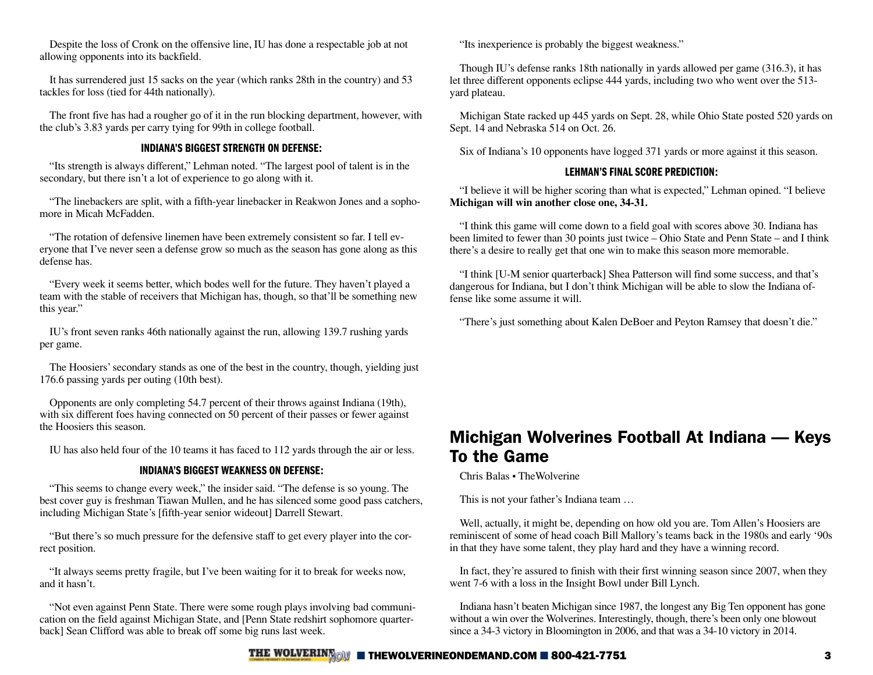Despite the loss of Cronk on the offensive line, IU has done a respectable job at not allowing opponents into its backfield.

It has surrendered just 15 sacks on the year (which ranks 28th in the country) and 53 tackles for loss (tied for 44th nationally).

The front five has had a rougher go of it in the run blocking department, however, with the club's 3.83 yards per carry tying for 99th in college football.

#### INDIANA'S BIGGEST STRENGTH ON DEFENSE:

"Its strength is always different," Lehman noted. "The largest pool of talent is in the secondary, but there isn't a lot of experience to go along with it.

"The linebackers are split, with a fifth-year linebacker in Reakwon Jones and a sophomore in Micah McFadden.

"The rotation of defensive linemen have been extremely consistent so far. I tell everyone that I've never seen a defense grow so much as the season has gone along as this defense has.

"Every week it seems better, which bodes well for the future. They haven't played a team with the stable of receivers that Michigan has, though, so that'll be something new this year."

IU's front seven ranks 46th nationally against the run, allowing 139.7 rushing yards per game.

The Hoosiers' secondary stands as one of the best in the country, though, yielding just 176.6 passing yards per outing (10th best).

Opponents are only completing 54.7 percent of their throws against Indiana (19th), with six different foes having connected on 50 percent of their passes or fewer against the Hoosiers this season.

IU has also held four of the 10 teams it has faced to 112 yards through the air or less.

#### INDIANA'S BIGGEST WEAKNESS ON DEFENSE:

"This seems to change every week," the insider said. "The defense is so young. The best cover guy is freshman Tiawan Mullen, and he has silenced some good pass catchers, including Michigan State's [fifth-year senior wideout] Darrell Stewart.

"But there's so much pressure for the defensive staff to get every player into the correct position.

"It always seems pretty fragile, but I've been waiting for it to break for weeks now, and it hasn't.

"Not even against Penn State. There were some rough plays involving bad communication on the field against Michigan State, and [Penn State redshirt sophomore quarterback] Sean Clifford was able to break off some big runs last week.

"Its inexperience is probably the biggest weakness."

Though IU's defense ranks 18th nationally in yards allowed per game (316.3), it has let three different opponents eclipse 444 yards, including two who went over the 513 yard plateau.

Michigan State racked up 445 yards on Sept. 28, while Ohio State posted 520 yards on Sept. 14 and Nebraska 514 on Oct. 26.

Six of Indiana's 10 opponents have logged 371 yards or more against it this season.

#### LEHMAN'S FINAL SCORE PREDICTION:

"I believe it will be higher scoring than what is expected," Lehman opined. "I believe **Michigan will win another close one, 34-31.**

"I think this game will come down to a field goal with scores above 30. Indiana has been limited to fewer than 30 points just twice – Ohio State and Penn State – and I think there's a desire to really get that one win to make this season more memorable.

"I think [U-M senior quarterback] Shea Patterson will find some success, and that's dangerous for Indiana, but I don't think Michigan will be able to slow the Indiana offense like some assume it will.

"There's just something about Kalen DeBoer and Peyton Ramsey that doesn't die."

# Michigan Wolverines Football At Indiana — Keys To the Game

Chris Balas • TheWolverine

This is not your father's Indiana team …

Well, actually, it might be, depending on how old you are. Tom Allen's Hoosiers are reminiscent of some of head coach Bill Mallory's teams back in the 1980s and early '90s in that they have some talent, they play hard and they have a winning record.

In fact, they're assured to finish with their first winning season since 2007, when they went 7-6 with a loss in the Insight Bowl under Bill Lynch.

Indiana hasn't beaten Michigan since 1987, the longest any Big Ten opponent has gone without a win over the Wolverines. Interestingly, though, there's been only one blowout since a 34-3 victory in Bloomington in 2006, and that was a 34-10 victory in 2014.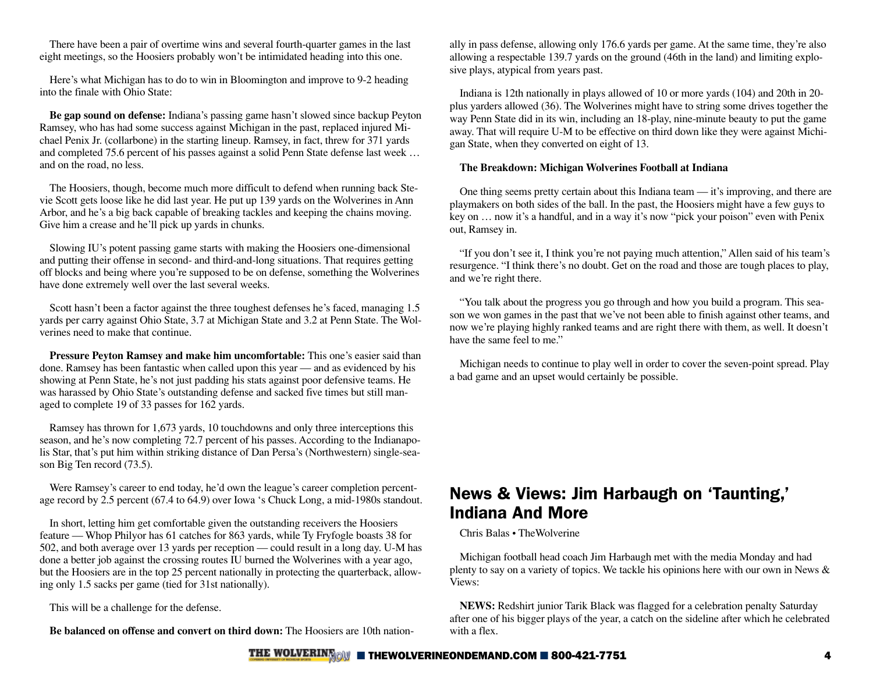There have been a pair of overtime wins and several fourth-quarter games in the last eight meetings, so the Hoosiers probably won't be intimidated heading into this one.

Here's what Michigan has to do to win in Bloomington and improve to 9-2 heading into the finale with Ohio State:

**Be gap sound on defense:** Indiana's passing game hasn't slowed since backup Peyton Ramsey, who has had some success against Michigan in the past, replaced injured Michael Penix Jr. (collarbone) in the starting lineup. Ramsey, in fact, threw for 371 yards and completed 75.6 percent of his passes against a solid Penn State defense last week … and on the road, no less.

The Hoosiers, though, become much more difficult to defend when running back Stevie Scott gets loose like he did last year. He put up 139 yards on the Wolverines in Ann Arbor, and he's a big back capable of breaking tackles and keeping the chains moving. Give him a crease and he'll pick up yards in chunks.

Slowing IU's potent passing game starts with making the Hoosiers one-dimensional and putting their offense in second- and third-and-long situations. That requires getting off blocks and being where you're supposed to be on defense, something the Wolverines have done extremely well over the last several weeks.

Scott hasn't been a factor against the three toughest defenses he's faced, managing 1.5 yards per carry against Ohio State, 3.7 at Michigan State and 3.2 at Penn State. The Wolverines need to make that continue.

**Pressure Peyton Ramsey and make him uncomfortable:** This one's easier said than done. Ramsey has been fantastic when called upon this year — and as evidenced by his showing at Penn State, he's not just padding his stats against poor defensive teams. He was harassed by Ohio State's outstanding defense and sacked five times but still managed to complete 19 of 33 passes for 162 yards.

Ramsey has thrown for 1,673 yards, 10 touchdowns and only three interceptions this season, and he's now completing 72.7 percent of his passes. According to the Indianapolis Star, that's put him within striking distance of Dan Persa's (Northwestern) single-season Big Ten record (73.5).

Were Ramsey's career to end today, he'd own the league's career completion percentage record by 2.5 percent (67.4 to 64.9) over Iowa 's Chuck Long, a mid-1980s standout.

In short, letting him get comfortable given the outstanding receivers the Hoosiers feature — Whop Philyor has 61 catches for 863 yards, while Ty Fryfogle boasts 38 for 502, and both average over 13 yards per reception — could result in a long day. U-M has done a better job against the crossing routes IU burned the Wolverines with a year ago, but the Hoosiers are in the top 25 percent nationally in protecting the quarterback, allowing only 1.5 sacks per game (tied for 31st nationally).

This will be a challenge for the defense.

**Be balanced on offense and convert on third down:** The Hoosiers are 10th nation-

ally in pass defense, allowing only 176.6 yards per game. At the same time, they're also allowing a respectable 139.7 yards on the ground (46th in the land) and limiting explosive plays, atypical from years past.

Indiana is 12th nationally in plays allowed of 10 or more yards (104) and 20th in 20 plus yarders allowed (36). The Wolverines might have to string some drives together the way Penn State did in its win, including an 18-play, nine-minute beauty to put the game away. That will require U-M to be effective on third down like they were against Michigan State, when they converted on eight of 13.

#### **The Breakdown: Michigan Wolverines Football at Indiana**

One thing seems pretty certain about this Indiana team — it's improving, and there are playmakers on both sides of the ball. In the past, the Hoosiers might have a few guys to key on … now it's a handful, and in a way it's now "pick your poison" even with Penix out, Ramsey in.

"If you don't see it, I think you're not paying much attention," Allen said of his team's resurgence. "I think there's no doubt. Get on the road and those are tough places to play, and we're right there.

"You talk about the progress you go through and how you build a program. This season we won games in the past that we've not been able to finish against other teams, and now we're playing highly ranked teams and are right there with them, as well. It doesn't have the same feel to me."

Michigan needs to continue to play well in order to cover the seven-point spread. Play a bad game and an upset would certainly be possible.

## News & Views: Jim Harbaugh on 'Taunting,' Indiana And More

#### Chris Balas • TheWolverine

Michigan football head coach Jim Harbaugh met with the media Monday and had plenty to say on a variety of topics. We tackle his opinions here with our own in News & Views:

**NEWS:** Redshirt junior Tarik Black was flagged for a celebration penalty Saturday after one of his bigger plays of the year, a catch on the sideline after which he celebrated with a flex.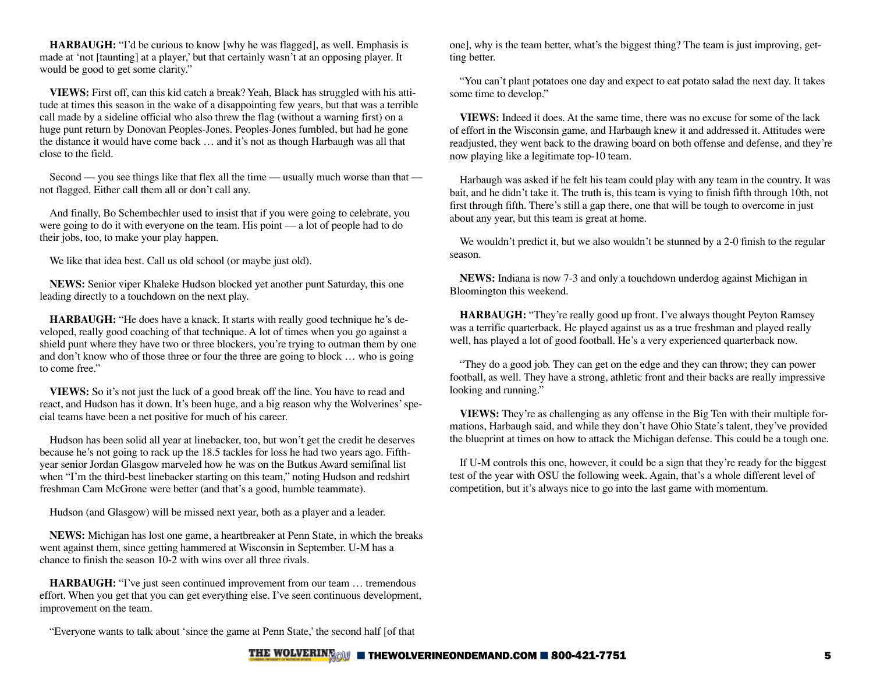**HARBAUGH:** "I'd be curious to know [why he was flagged], as well. Emphasis is made at 'not [taunting] at a player,' but that certainly wasn't at an opposing player. It would be good to get some clarity."

**VIEWS:** First off, can this kid catch a break? Yeah, Black has struggled with his attitude at times this season in the wake of a disappointing few years, but that was a terrible call made by a sideline official who also threw the flag (without a warning first) on a huge punt return by Donovan Peoples-Jones. Peoples-Jones fumbled, but had he gone the distance it would have come back … and it's not as though Harbaugh was all that close to the field.

Second — you see things like that flex all the time — usually much worse than that not flagged. Either call them all or don't call any.

And finally, Bo Schembechler used to insist that if you were going to celebrate, you were going to do it with everyone on the team. His point — a lot of people had to do their jobs, too, to make your play happen.

We like that idea best. Call us old school (or maybe just old).

**NEWS:** Senior viper Khaleke Hudson blocked yet another punt Saturday, this one leading directly to a touchdown on the next play.

**HARBAUGH:** "He does have a knack. It starts with really good technique he's developed, really good coaching of that technique. A lot of times when you go against a shield punt where they have two or three blockers, you're trying to outman them by one and don't know who of those three or four the three are going to block … who is going to come free."

**VIEWS:** So it's not just the luck of a good break off the line. You have to read and react, and Hudson has it down. It's been huge, and a big reason why the Wolverines' special teams have been a net positive for much of his career.

Hudson has been solid all year at linebacker, too, but won't get the credit he deserves because he's not going to rack up the 18.5 tackles for loss he had two years ago. Fifthyear senior Jordan Glasgow marveled how he was on the Butkus Award semifinal list when "I'm the third-best linebacker starting on this team," noting Hudson and redshirt freshman Cam McGrone were better (and that's a good, humble teammate).

Hudson (and Glasgow) will be missed next year, both as a player and a leader.

**NEWS:** Michigan has lost one game, a heartbreaker at Penn State, in which the breaks went against them, since getting hammered at Wisconsin in September. U-M has a chance to finish the season 10-2 with wins over all three rivals.

**HARBAUGH:** "I've just seen continued improvement from our team … tremendous effort. When you get that you can get everything else. I've seen continuous development, improvement on the team.

one], why is the team better, what's the biggest thing? The team is just improving, getting better.

"You can't plant potatoes one day and expect to eat potato salad the next day. It takes some time to develop."

**VIEWS:** Indeed it does. At the same time, there was no excuse for some of the lack of effort in the Wisconsin game, and Harbaugh knew it and addressed it. Attitudes were readjusted, they went back to the drawing board on both offense and defense, and they're now playing like a legitimate top-10 team.

Harbaugh was asked if he felt his team could play with any team in the country. It was bait, and he didn't take it. The truth is, this team is vying to finish fifth through 10th, not first through fifth. There's still a gap there, one that will be tough to overcome in just about any year, but this team is great at home.

We wouldn't predict it, but we also wouldn't be stunned by a 2-0 finish to the regular season.

**NEWS:** Indiana is now 7-3 and only a touchdown underdog against Michigan in Bloomington this weekend.

**HARBAUGH:** "They're really good up front. I've always thought Peyton Ramsey was a terrific quarterback. He played against us as a true freshman and played really well, has played a lot of good football. He's a very experienced quarterback now.

"They do a good job. They can get on the edge and they can throw; they can power football, as well. They have a strong, athletic front and their backs are really impressive looking and running."

**VIEWS:** They're as challenging as any offense in the Big Ten with their multiple formations, Harbaugh said, and while they don't have Ohio State's talent, they've provided the blueprint at times on how to attack the Michigan defense. This could be a tough one.

If U-M controls this one, however, it could be a sign that they're ready for the biggest test of the year with OSU the following week. Again, that's a whole different level of competition, but it's always nice to go into the last game with momentum.

"Everyone wants to talk about 'since the game at Penn State,' the second half [of that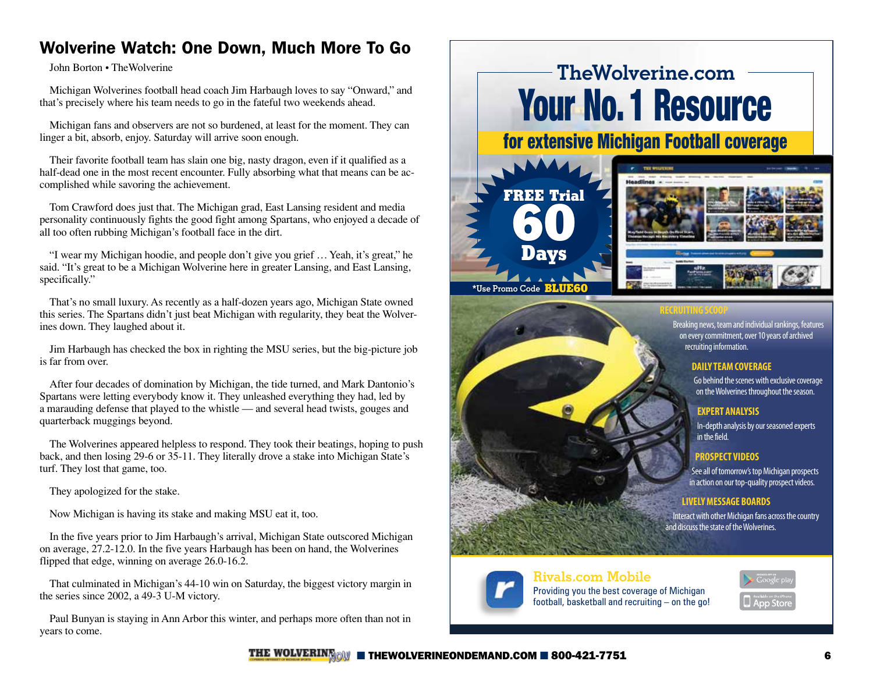# Wolverine Watch: One Down, Much More To Go

John Borton • TheWolverine

Michigan Wolverines football head coach Jim Harbaugh loves to say "Onward," and that's precisely where his team needs to go in the fateful two weekends ahead.

Michigan fans and observers are not so burdened, at least for the moment. They can linger a bit, absorb, enjoy. Saturday will arrive soon enough.

Their favorite football team has slain one big, nasty dragon, even if it qualified as a half-dead one in the most recent encounter. Fully absorbing what that means can be accomplished while savoring the achievement.

Tom Crawford does just that. The Michigan grad, East Lansing resident and media personality continuously fights the good fight among Spartans, who enjoyed a decade of all too often rubbing Michigan's football face in the dirt.

"I wear my Michigan hoodie, and people don't give you grief … Yeah, it's great," he said. "It's great to be a Michigan Wolverine here in greater Lansing, and East Lansing, specifically."

That's no small luxury. As recently as a half-dozen years ago, Michigan State owned this series. The Spartans didn't just beat Michigan with regularity, they beat the Wolverines down. They laughed about it.

Jim Harbaugh has checked the box in righting the MSU series, but the big-picture job is far from over.

After four decades of domination by Michigan, the tide turned, and Mark Dantonio's Spartans were letting everybody know it. They unleashed everything they had, led by a marauding defense that played to the whistle — and several head twists, gouges and quarterback muggings beyond.

The Wolverines appeared helpless to respond. They took their beatings, hoping to push back, and then losing 29-6 or 35-11. They literally drove a stake into Michigan State's turf. They lost that game, too.

They apologized for the stake.

Now Michigan is having its stake and making MSU eat it, too.

In the five years prior to Jim Harbaugh's arrival, Michigan State outscored Michigan on average, 27.2-12.0. In the five years Harbaugh has been on hand, the Wolverines flipped that edge, winning on average 26.0-16.2.

That culminated in Michigan's 44-10 win on Saturday, the biggest victory margin in the series since 2002, a 49-3 U-M victory.

Paul Bunyan is staying in Ann Arbor this winter, and perhaps more often than not in years to come.

# **TheWolverine.com** [Your No. 1 Resource](https://michigan.n.rivals.com/users/sign_up/76?promo_code=blue60)

for extensive Michigan Football coverage





**RECRUITING SCOOP**

Breaking news, team and individual rankings, features on every commitment, over 10 years of archived recruiting information.

#### **DAILY TEAM COVERAGE**

Go behind the scenes with exclusive coverage on the Wolverines throughout the season.

#### **EXPERT ANALYSIS**

In-depth analysis by our seasoned experts in the field.

#### **PROSPECT VIDEOS**

See all of tomorrow's top Michigan prospects in action on our top-quality prospect videos.

#### **LIVELY MESSAGE BOARDS**

Interact with other Michigan fans across the country and discuss the state of the Wolverines.



# **Rivals.com Mobile**

Providing you the best coverage of Michigan football, basketball and recruiting – on the go!

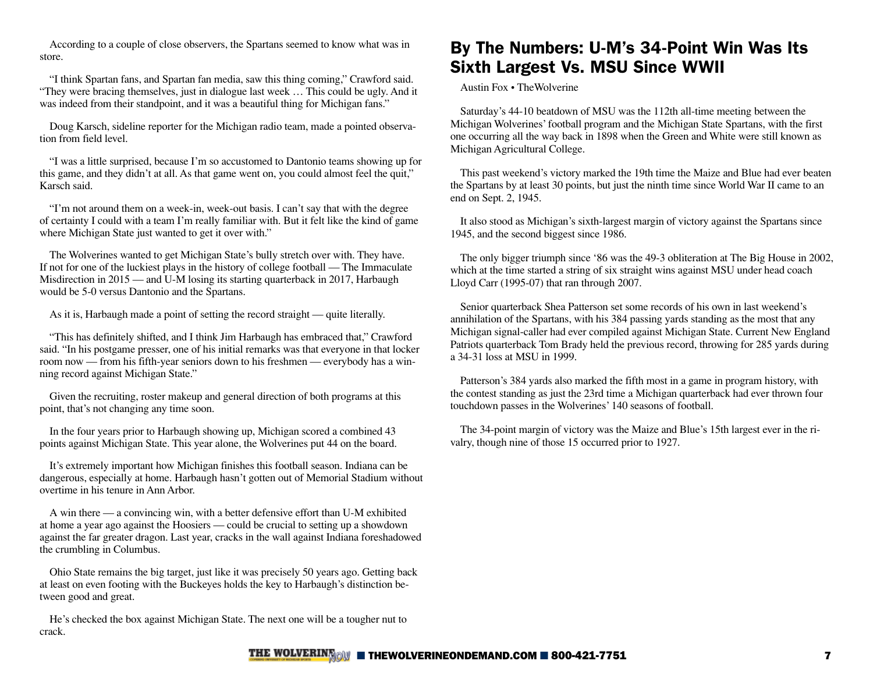According to a couple of close observers, the Spartans seemed to know what was in store.

"I think Spartan fans, and Spartan fan media, saw this thing coming," Crawford said. "They were bracing themselves, just in dialogue last week … This could be ugly. And it was indeed from their standpoint, and it was a beautiful thing for Michigan fans."

Doug Karsch, sideline reporter for the Michigan radio team, made a pointed observation from field level.

"I was a little surprised, because I'm so accustomed to Dantonio teams showing up for this game, and they didn't at all. As that game went on, you could almost feel the quit," Karsch said.

"I'm not around them on a week-in, week-out basis. I can't say that with the degree of certainty I could with a team I'm really familiar with. But it felt like the kind of game where Michigan State just wanted to get it over with."

The Wolverines wanted to get Michigan State's bully stretch over with. They have. If not for one of the luckiest plays in the history of college football — The Immaculate Misdirection in 2015 — and U-M losing its starting quarterback in 2017, Harbaugh would be 5-0 versus Dantonio and the Spartans.

As it is, Harbaugh made a point of setting the record straight — quite literally.

"This has definitely shifted, and I think Jim Harbaugh has embraced that," Crawford said. "In his postgame presser, one of his initial remarks was that everyone in that locker room now — from his fifth-year seniors down to his freshmen — everybody has a winning record against Michigan State."

Given the recruiting, roster makeup and general direction of both programs at this point, that's not changing any time soon.

In the four years prior to Harbaugh showing up, Michigan scored a combined 43 points against Michigan State. This year alone, the Wolverines put 44 on the board.

It's extremely important how Michigan finishes this football season. Indiana can be dangerous, especially at home. Harbaugh hasn't gotten out of Memorial Stadium without overtime in his tenure in Ann Arbor.

A win there — a convincing win, with a better defensive effort than U-M exhibited at home a year ago against the Hoosiers — could be crucial to setting up a showdown against the far greater dragon. Last year, cracks in the wall against Indiana foreshadowed the crumbling in Columbus.

Ohio State remains the big target, just like it was precisely 50 years ago. Getting back at least on even footing with the Buckeyes holds the key to Harbaugh's distinction between good and great.

He's checked the box against Michigan State. The next one will be a tougher nut to crack.

# By The Numbers: U-M's 34-Point Win Was Its Sixth Largest Vs. MSU Since WWII

Austin Fox • TheWolverine

Saturday's 44-10 beatdown of MSU was the 112th all-time meeting between the Michigan Wolverines' football program and the Michigan State Spartans, with the first one occurring all the way back in 1898 when the Green and White were still known as Michigan Agricultural College.

This past weekend's victory marked the 19th time the Maize and Blue had ever beaten the Spartans by at least 30 points, but just the ninth time since World War II came to an end on Sept. 2, 1945.

It also stood as Michigan's sixth-largest margin of victory against the Spartans since 1945, and the second biggest since 1986.

The only bigger triumph since '86 was the 49-3 obliteration at The Big House in 2002, which at the time started a string of six straight wins against MSU under head coach Lloyd Carr (1995-07) that ran through 2007.

Senior quarterback Shea Patterson set some records of his own in last weekend's annihilation of the Spartans, with his 384 passing yards standing as the most that any Michigan signal-caller had ever compiled against Michigan State. Current New England Patriots quarterback Tom Brady held the previous record, throwing for 285 yards during a 34-31 loss at MSU in 1999.

Patterson's 384 yards also marked the fifth most in a game in program history, with the contest standing as just the 23rd time a Michigan quarterback had ever thrown four touchdown passes in the Wolverines' 140 seasons of football.

The 34-point margin of victory was the Maize and Blue's 15th largest ever in the rivalry, though nine of those 15 occurred prior to 1927.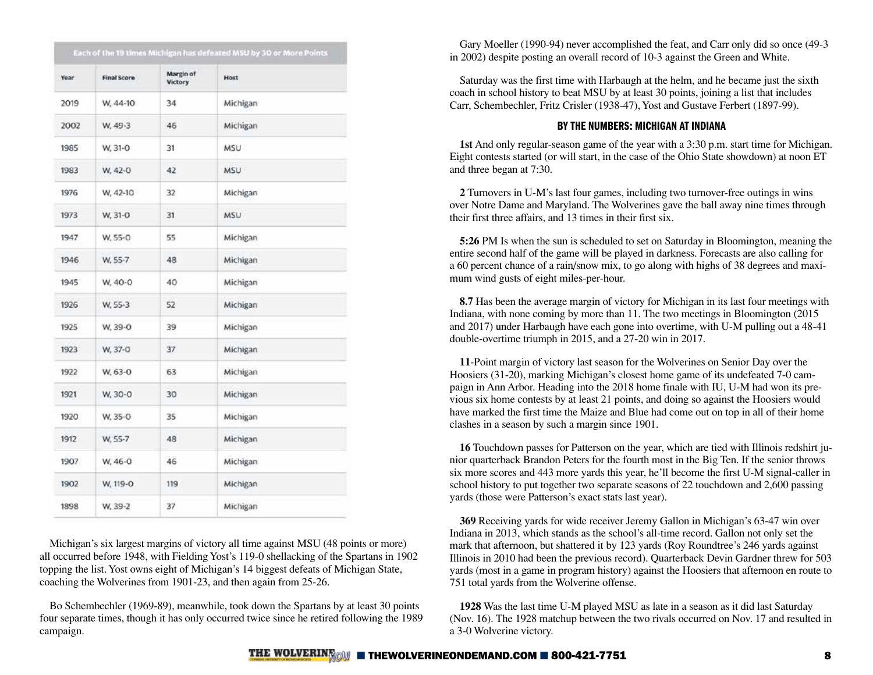| Year | <b>Final Score</b> | Margin of<br><b>Victory</b> | Host       |
|------|--------------------|-----------------------------|------------|
| 2019 | W, 44-10           | 34                          | Michigan   |
| 2002 | W. 49-3            | 46                          | Michigan   |
| 1985 | W. 31-O            | 31                          | <b>MSU</b> |
| 1983 | W. 42-0            | 42                          | <b>MSU</b> |
| 1976 | W, 42-10           | 32                          | Michigan   |
| 1973 | W. 31-O            | 31                          | <b>MSU</b> |
| 1947 | W. 55-0            | 55                          | Michigan   |
| 1946 | W. 55-7            | 48                          | Michigan   |
| 1945 | W. 40-0            | 40                          | Michigan   |
| 1926 | W. 55-3            | 52                          | Michigan   |
| 1925 | W. 39-0            | 39                          | Michigan   |
| 1923 | W, 37-0            | 37                          | Michigan   |
| 1922 | W. 63-0            | 63                          | Michigan   |
| 1921 | W. 30-0            | 30                          | Michigan   |
| 1920 | W. 35-0            | 35                          | Michigan   |
| 1912 | W, 55-7            | 48                          | Michigan   |
| 1907 | W. 46-0            | 46                          | Michigan   |
| 1902 | W, 119-0           | 119                         | Michigan   |
| 1898 | W. 39-2            | 37                          | Michigan   |

Michigan's six largest margins of victory all time against MSU (48 points or more) all occurred before 1948, with Fielding Yost's 119-0 shellacking of the Spartans in 1902 topping the list. Yost owns eight of Michigan's 14 biggest defeats of Michigan State, coaching the Wolverines from 1901-23, and then again from 25-26.

Bo Schembechler (1969-89), meanwhile, took down the Spartans by at least 30 points four separate times, though it has only occurred twice since he retired following the 1989 campaign.

Gary Moeller (1990-94) never accomplished the feat, and Carr only did so once (49-3 in 2002) despite posting an overall record of 10-3 against the Green and White.

Saturday was the first time with Harbaugh at the helm, and he became just the sixth coach in school history to beat MSU by at least 30 points, joining a list that includes Carr, Schembechler, Fritz Crisler (1938-47), Yost and Gustave Ferbert (1897-99).

#### BY THE NUMBERS: MICHIGAN AT INDIANA

**1st** And only regular-season game of the year with a 3:30 p.m. start time for Michigan. Eight contests started (or will start, in the case of the Ohio State showdown) at noon ET and three began at 7:30.

**2** Turnovers in U-M's last four games, including two turnover-free outings in wins over Notre Dame and Maryland. The Wolverines gave the ball away nine times through their first three affairs, and 13 times in their first six.

**5:26** PM Is when the sun is scheduled to set on Saturday in Bloomington, meaning the entire second half of the game will be played in darkness. Forecasts are also calling for a 60 percent chance of a rain/snow mix, to go along with highs of 38 degrees and maximum wind gusts of eight miles-per-hour.

**8.7** Has been the average margin of victory for Michigan in its last four meetings with Indiana, with none coming by more than 11. The two meetings in Bloomington (2015 and 2017) under Harbaugh have each gone into overtime, with U-M pulling out a 48-41 double-overtime triumph in 2015, and a 27-20 win in 2017.

**11**-Point margin of victory last season for the Wolverines on Senior Day over the Hoosiers (31-20), marking Michigan's closest home game of its undefeated 7-0 campaign in Ann Arbor. Heading into the 2018 home finale with IU, U-M had won its previous six home contests by at least 21 points, and doing so against the Hoosiers would have marked the first time the Maize and Blue had come out on top in all of their home clashes in a season by such a margin since 1901.

**16** Touchdown passes for Patterson on the year, which are tied with Illinois redshirt junior quarterback Brandon Peters for the fourth most in the Big Ten. If the senior throws six more scores and 443 more yards this year, he'll become the first U-M signal-caller in school history to put together two separate seasons of 22 touchdown and 2,600 passing yards (those were Patterson's exact stats last year).

**369** Receiving yards for wide receiver Jeremy Gallon in Michigan's 63-47 win over Indiana in 2013, which stands as the school's all-time record. Gallon not only set the mark that afternoon, but shattered it by 123 yards (Roy Roundtree's 246 yards against Illinois in 2010 had been the previous record). Quarterback Devin Gardner threw for 503 yards (most in a game in program history) against the Hoosiers that afternoon en route to 751 total yards from the Wolverine offense.

**1928** Was the last time U-M played MSU as late in a season as it did last Saturday (Nov. 16). The 1928 matchup between the two rivals occurred on Nov. 17 and resulted in a 3-0 Wolverine victory.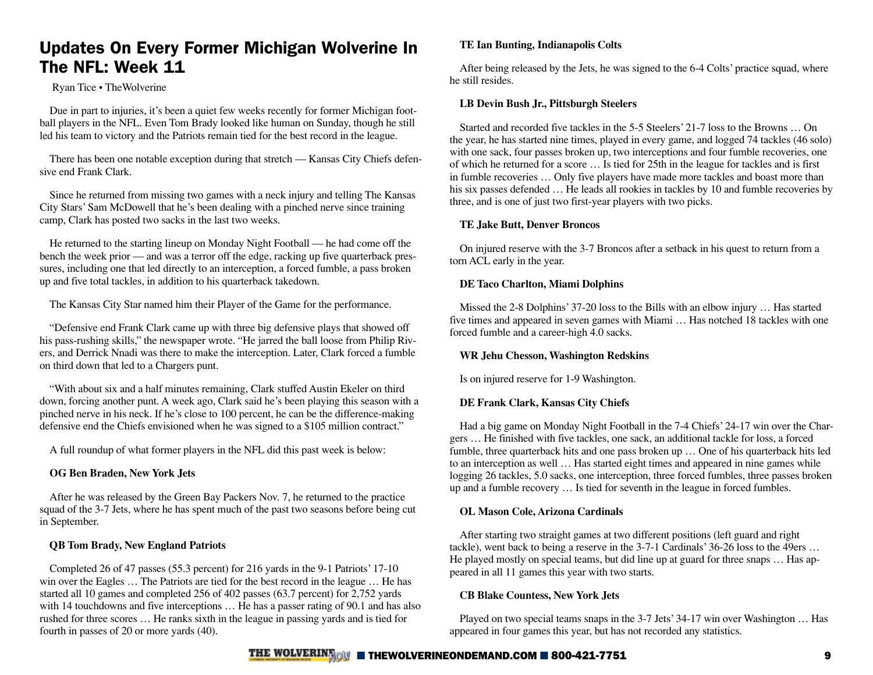# Updates On Every Former Michigan Wolverine In The NFL: Week 11

#### Ryan Tice • TheWolverine

Due in part to injuries, it's been a quiet few weeks recently for former Michigan football players in the NFL. Even Tom Brady looked like human on Sunday, though he still led his team to victory and the Patriots remain tied for the best record in the league.

There has been one notable exception during that stretch — Kansas City Chiefs defensive end Frank Clark.

Since he returned from missing two games with a neck injury and telling The Kansas City Stars' Sam McDowell that he's been dealing with a pinched nerve since training camp, Clark has posted two sacks in the last two weeks.

He returned to the starting lineup on Monday Night Football — he had come off the bench the week prior — and was a terror off the edge, racking up five quarterback pressures, including one that led directly to an interception, a forced fumble, a pass broken up and five total tackles, in addition to his quarterback takedown.

The Kansas City Star named him their Player of the Game for the performance.

"Defensive end Frank Clark came up with three big defensive plays that showed off his pass-rushing skills," the newspaper wrote. "He jarred the ball loose from Philip Rivers, and Derrick Nnadi was there to make the interception. Later, Clark forced a fumble on third down that led to a Chargers punt.

"With about six and a half minutes remaining, Clark stuffed Austin Ekeler on third down, forcing another punt. A week ago, Clark said he's been playing this season with a pinched nerve in his neck. If he's close to 100 percent, he can be the difference-making defensive end the Chiefs envisioned when he was signed to a \$105 million contract."

A full roundup of what former players in the NFL did this past week is below:

#### **OG Ben Braden, New York Jets**

After he was released by the Green Bay Packers Nov. 7, he returned to the practice squad of the 3-7 Jets, where he has spent much of the past two seasons before being cut in September.

#### **QB Tom Brady, New England Patriots**

Completed 26 of 47 passes (55.3 percent) for 216 yards in the 9-1 Patriots' 17-10 win over the Eagles … The Patriots are tied for the best record in the league … He has started all 10 games and completed 256 of 402 passes (63.7 percent) for 2,752 yards with 14 touchdowns and five interceptions ... He has a passer rating of 90.1 and has also rushed for three scores … He ranks sixth in the league in passing yards and is tied for fourth in passes of 20 or more yards (40).

#### **TE Ian Bunting, Indianapolis Colts**

After being released by the Jets, he was signed to the 6-4 Colts' practice squad, where he still resides.

#### **LB Devin Bush Jr., Pittsburgh Steelers**

Started and recorded five tackles in the 5-5 Steelers' 21-7 loss to the Browns … On the year, he has started nine times, played in every game, and logged 74 tackles (46 solo) with one sack, four passes broken up, two interceptions and four fumble recoveries, one of which he returned for a score … Is tied for 25th in the league for tackles and is first in fumble recoveries … Only five players have made more tackles and boast more than his six passes defended ... He leads all rookies in tackles by 10 and fumble recoveries by three, and is one of just two first-year players with two picks.

#### **TE Jake Butt, Denver Broncos**

On injured reserve with the 3-7 Broncos after a setback in his quest to return from a torn ACL early in the year.

#### **DE Taco Charlton, Miami Dolphins**

Missed the 2-8 Dolphins' 37-20 loss to the Bills with an elbow injury … Has started five times and appeared in seven games with Miami … Has notched 18 tackles with one forced fumble and a career-high 4.0 sacks.

#### **WR Jehu Chesson, Washington Redskins**

Is on injured reserve for 1-9 Washington.

#### **DE Frank Clark, Kansas City Chiefs**

Had a big game on Monday Night Football in the 7-4 Chiefs' 24-17 win over the Chargers … He finished with five tackles, one sack, an additional tackle for loss, a forced fumble, three quarterback hits and one pass broken up … One of his quarterback hits led to an interception as well … Has started eight times and appeared in nine games while logging 26 tackles, 5.0 sacks, one interception, three forced fumbles, three passes broken up and a fumble recovery … Is tied for seventh in the league in forced fumbles.

#### **OL Mason Cole, Arizona Cardinals**

After starting two straight games at two different positions (left guard and right tackle), went back to being a reserve in the 3-7-1 Cardinals' 36-26 loss to the 49ers … He played mostly on special teams, but did line up at guard for three snaps … Has appeared in all 11 games this year with two starts.

#### **CB Blake Countess, New York Jets**

Played on two special teams snaps in the 3-7 Jets' 34-17 win over Washington … Has appeared in four games this year, but has not recorded any statistics.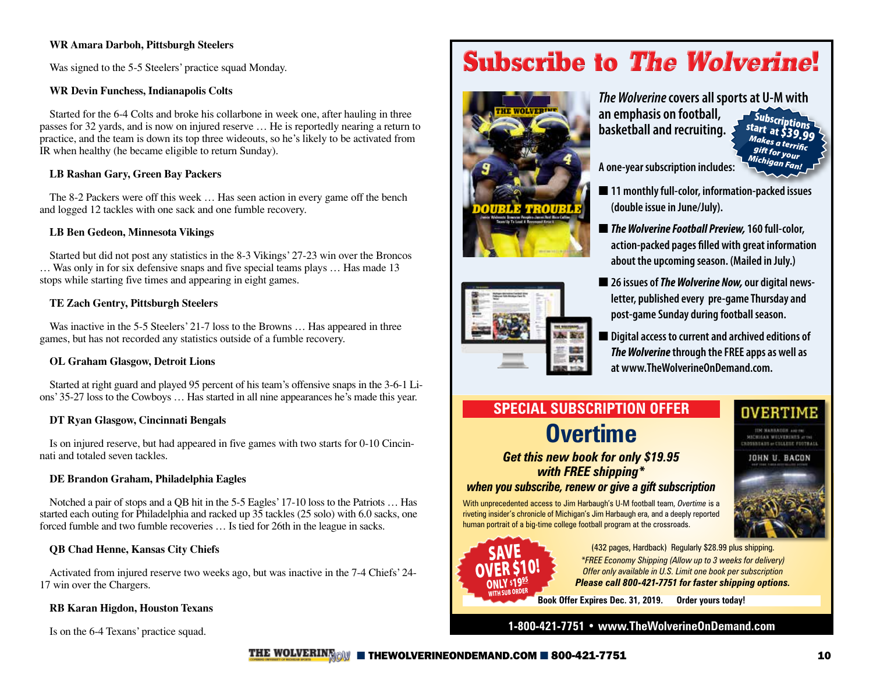#### **WR Amara Darboh, Pittsburgh Steelers**

Was signed to the 5-5 Steelers' practice squad Monday.

#### **WR Devin Funchess, Indianapolis Colts**

Started for the 6-4 Colts and broke his collarbone in week one, after hauling in three passes for 32 yards, and is now on injured reserve … He is reportedly nearing a return to practice, and the team is down its top three wideouts, so he's likely to be activated from IR when healthy (he became eligible to return Sunday).

#### **LB Rashan Gary, Green Bay Packers**

The 8-2 Packers were off this week … Has seen action in every game off the bench and logged 12 tackles with one sack and one fumble recovery.

#### **LB Ben Gedeon, Minnesota Vikings**

Started but did not post any statistics in the 8-3 Vikings' 27-23 win over the Broncos … Was only in for six defensive snaps and five special teams plays … Has made 13 stops while starting five times and appearing in eight games.

#### **TE Zach Gentry, Pittsburgh Steelers**

Was inactive in the 5-5 Steelers' 21-7 loss to the Browns ... Has appeared in three games, but has not recorded any statistics outside of a fumble recovery.

#### **OL Graham Glasgow, Detroit Lions**

Started at right guard and played 95 percent of his team's offensive snaps in the 3-6-1 Lions' 35-27 loss to the Cowboys … Has started in all nine appearances he's made this year.

#### **DT Ryan Glasgow, Cincinnati Bengals**

Is on injured reserve, but had appeared in five games with two starts for 0-10 Cincinnati and totaled seven tackles.

#### **DE Brandon Graham, Philadelphia Eagles**

Notched a pair of stops and a QB hit in the 5-5 Eagles' 17-10 loss to the Patriots … Has started each outing for Philadelphia and racked up 35 tackles (25 solo) with 6.0 sacks, one forced fumble and two fumble recoveries … Is tied for 26th in the league in sacks.

#### **QB Chad Henne, Kansas City Chiefs**

Activated from injured reserve two weeks ago, but was inactive in the 7-4 Chiefs' 24- 17 win over the Chargers.

#### **RB Karan Higdon, Houston Texans**

# **[Subscribe to](https://thewolverineondemand.com/wolverine-gift-shop/Subscriptions-c4639230) The Wolverine!**



*The Wolverine* **covers all sports at U-M with an emphasis on football,** 

Subscriptions start at \$39.99 *Makes a terrific gift for your Michigan Fan!*

**A one-year subscription includes:**

**basketball and recruiting.** 

- 11 monthly full-color, information-packed issues **(double issue in June/July).**
- **The Wolverine Football Preview, 160 full-color, action-packed pages filled with great information about the upcoming season. (Mailed in July.)**
- 26 issues of *The Wolverine Now,* our digital news**letter, published every pre-game Thursday and post-game Sunday during football season.**
- Digital access to current and archived editions of *The Wolverine* **through the FREE apps as well as at www.TheWolverineOnDemand.com.**

# **SPECIAL SUBSCRIPTION OFFER Overtime**

*Get this new book for only \$19.95 with FREE shipping\* when you subscribe, renew or give a gift subscription* 

With unprecedented access to Jim Harbaugh's U-M football team, *Overtime* is a riveting insider's chronicle of Michigan's Jim Harbaugh era, and a deeply reported human portrait of a big-time college football program at the crossroads.



(432 pages, Hardback) Regularly \$28.99 plus shipping. *\*FREE Economy Shipping (Allow up to 3 weeks for delivery) Offer only available in U.S. Limit one book per subscription Please call 800-421-7751 for faster shipping options.*

**Book Offer Expires Dec. 31, 2019. Order yours today!**

Is on the 6-4 Texans' practice squad. **1-800-421-7751 • www.TheWolverineOnDemand.com**



**THE WOLVERING ON** ■ [THEWOLVERINEONDEMAND.COM](http://thewolverineondemand.com) ■ 800-421-7751 10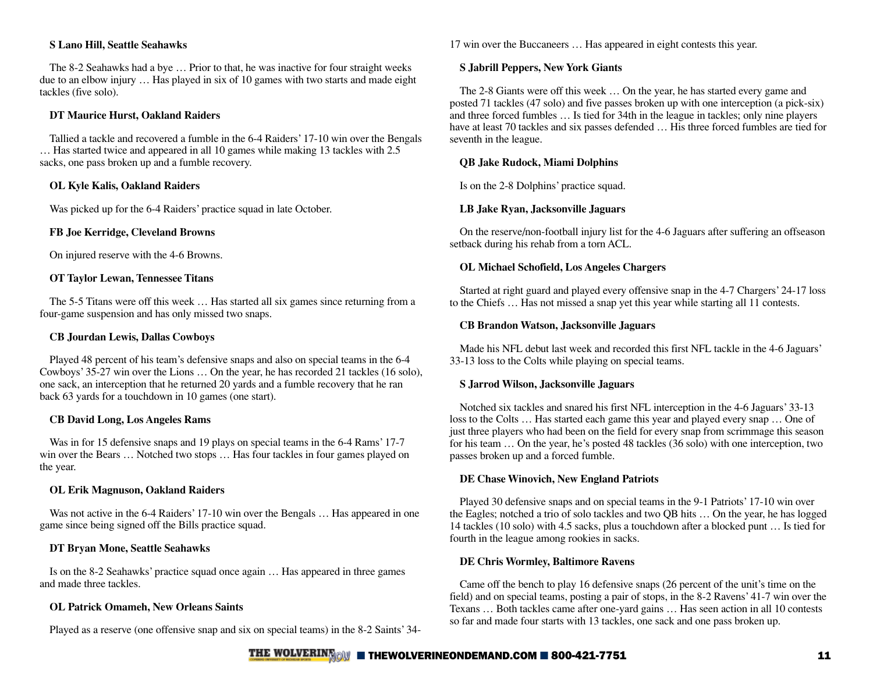#### **S Lano Hill, Seattle Seahawks**

The 8-2 Seahawks had a bye … Prior to that, he was inactive for four straight weeks due to an elbow injury … Has played in six of 10 games with two starts and made eight tackles (five solo).

#### **DT Maurice Hurst, Oakland Raiders**

Tallied a tackle and recovered a fumble in the 6-4 Raiders' 17-10 win over the Bengals … Has started twice and appeared in all 10 games while making 13 tackles with 2.5 sacks, one pass broken up and a fumble recovery.

#### **OL Kyle Kalis, Oakland Raiders**

Was picked up for the 6-4 Raiders' practice squad in late October.

#### **FB Joe Kerridge, Cleveland Browns**

On injured reserve with the 4-6 Browns.

#### **OT Taylor Lewan, Tennessee Titans**

The 5-5 Titans were off this week … Has started all six games since returning from a four-game suspension and has only missed two snaps.

#### **CB Jourdan Lewis, Dallas Cowboys**

Played 48 percent of his team's defensive snaps and also on special teams in the 6-4 Cowboys' 35-27 win over the Lions … On the year, he has recorded 21 tackles (16 solo), one sack, an interception that he returned 20 yards and a fumble recovery that he ran back 63 yards for a touchdown in 10 games (one start).

#### **CB David Long, Los Angeles Rams**

Was in for 15 defensive snaps and 19 plays on special teams in the 6-4 Rams' 17-7 win over the Bears ... Notched two stops ... Has four tackles in four games played on the year.

#### **OL Erik Magnuson, Oakland Raiders**

Was not active in the 6-4 Raiders' 17-10 win over the Bengals ... Has appeared in one game since being signed off the Bills practice squad.

#### **DT Bryan Mone, Seattle Seahawks**

Is on the 8-2 Seahawks' practice squad once again … Has appeared in three games and made three tackles.

#### **OL Patrick Omameh, New Orleans Saints**

Played as a reserve (one offensive snap and six on special teams) in the 8-2 Saints' 34-

17 win over the Buccaneers … Has appeared in eight contests this year.

#### **S Jabrill Peppers, New York Giants**

The 2-8 Giants were off this week … On the year, he has started every game and posted 71 tackles (47 solo) and five passes broken up with one interception (a pick-six) and three forced fumbles … Is tied for 34th in the league in tackles; only nine players have at least 70 tackles and six passes defended ... His three forced fumbles are tied for seventh in the league.

#### **QB Jake Rudock, Miami Dolphins**

Is on the 2-8 Dolphins' practice squad.

#### **LB Jake Ryan, Jacksonville Jaguars**

On the reserve/non-football injury list for the 4-6 Jaguars after suffering an offseason setback during his rehab from a torn ACL.

#### **OL Michael Schofield, Los Angeles Chargers**

Started at right guard and played every offensive snap in the 4-7 Chargers' 24-17 loss to the Chiefs … Has not missed a snap yet this year while starting all 11 contests.

#### **CB Brandon Watson, Jacksonville Jaguars**

Made his NFL debut last week and recorded this first NFL tackle in the 4-6 Jaguars' 33-13 loss to the Colts while playing on special teams.

#### **S Jarrod Wilson, Jacksonville Jaguars**

Notched six tackles and snared his first NFL interception in the 4-6 Jaguars' 33-13 loss to the Colts ... Has started each game this year and played every snap ... One of just three players who had been on the field for every snap from scrimmage this season for his team ... On the year, he's posted 48 tackles (36 solo) with one interception, two passes broken up and a forced fumble.

#### **DE Chase Winovich, New England Patriots**

Played 30 defensive snaps and on special teams in the 9-1 Patriots' 17-10 win over the Eagles; notched a trio of solo tackles and two QB hits … On the year, he has logged 14 tackles (10 solo) with 4.5 sacks, plus a touchdown after a blocked punt … Is tied for fourth in the league among rookies in sacks.

#### **DE Chris Wormley, Baltimore Ravens**

Came off the bench to play 16 defensive snaps (26 percent of the unit's time on the field) and on special teams, posting a pair of stops, in the 8-2 Ravens' 41-7 win over the Texans … Both tackles came after one-yard gains … Has seen action in all 10 contests so far and made four starts with 13 tackles, one sack and one pass broken up.

### THE WOLVERING INTERVOLVERINE ONDEMAND.COM  $\blacksquare$  800-421-7751 11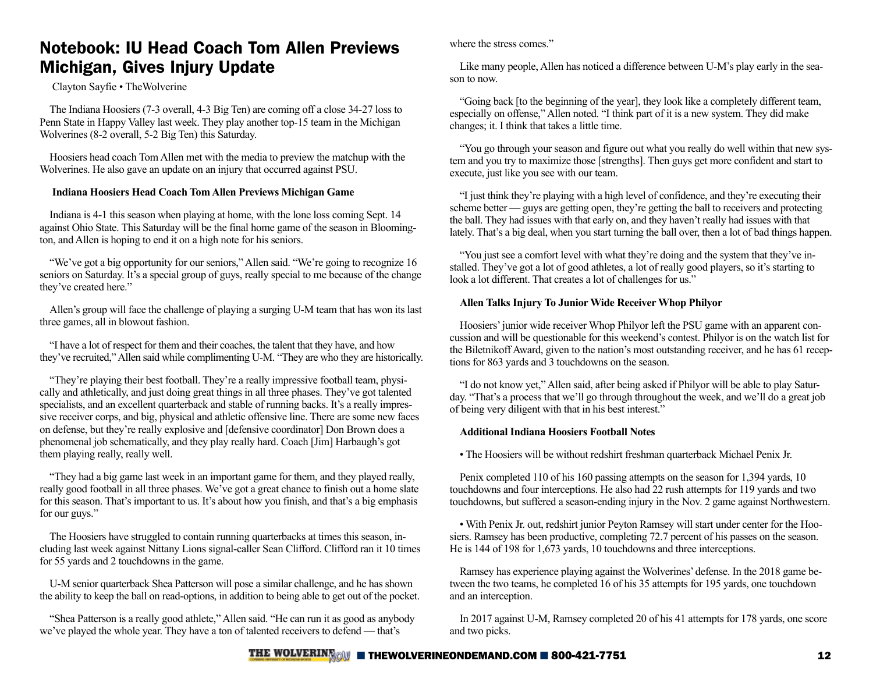## Notebook: IU Head Coach Tom Allen Previews Michigan, Gives Injury Update

#### Clayton Sayfie • TheWolverine

The Indiana Hoosiers (7-3 overall, 4-3 Big Ten) are coming off a close 34-27 loss to Penn State in Happy Valley last week. They play another top-15 team in the Michigan Wolverines (8-2 overall, 5-2 Big Ten) this Saturday.

Hoosiers head coach Tom Allen met with the media to preview the matchup with the Wolverines. He also gave an update on an injury that occurred against PSU.

#### **Indiana Hoosiers Head Coach Tom Allen Previews Michigan Game**

Indiana is 4-1 this season when playing at home, with the lone loss coming Sept. 14 against Ohio State. This Saturday will be the final home game of the season in Bloomington, and Allen is hoping to end it on a high note for his seniors.

"We've got a big opportunity for our seniors," Allen said. "We're going to recognize 16 seniors on Saturday. It's a special group of guys, really special to me because of the change they've created here."

Allen's group will face the challenge of playing a surging U-M team that has won its last three games, all in blowout fashion.

"I have a lot of respect for them and their coaches, the talent that they have, and how they've recruited," Allen said while complimenting U-M. "They are who they are historically.

"They're playing their best football. They're a really impressive football team, physically and athletically, and just doing great things in all three phases. They've got talented specialists, and an excellent quarterback and stable of running backs. It's a really impressive receiver corps, and big, physical and athletic offensive line. There are some new faces on defense, but they're really explosive and [defensive coordinator] Don Brown does a phenomenal job schematically, and they play really hard. Coach [Jim] Harbaugh's got them playing really, really well.

"They had a big game last week in an important game for them, and they played really, really good football in all three phases. We've got a great chance to finish out a home slate for this season. That's important to us. It's about how you finish, and that's a big emphasis for our guys."

The Hoosiers have struggled to contain running quarterbacks at times this season, including last week against Nittany Lions signal-caller Sean Clifford. Clifford ran it 10 times for 55 yards and 2 touchdowns in the game.

U-M senior quarterback Shea Patterson will pose a similar challenge, and he has shown the ability to keep the ball on read-options, in addition to being able to get out of the pocket.

"Shea Patterson is a really good athlete," Allen said. "He can run it as good as anybody we've played the whole year. They have a ton of talented receivers to defend — that's

where the stress comes."

Like many people, Allen has noticed a difference between U-M's play early in the season to now.

"Going back [to the beginning of the year], they look like a completely different team, especially on offense," Allen noted. "I think part of it is a new system. They did make changes; it. I think that takes a little time.

"You go through your season and figure out what you really do well within that new system and you try to maximize those [strengths]. Then guys get more confident and start to execute, just like you see with our team.

"I just think they're playing with a high level of confidence, and they're executing their scheme better — guys are getting open, they're getting the ball to receivers and protecting the ball. They had issues with that early on, and they haven't really had issues with that lately. That's a big deal, when you start turning the ball over, then a lot of bad things happen.

"You just see a comfort level with what they're doing and the system that they've installed. They've got a lot of good athletes, a lot of really good players, so it's starting to look a lot different. That creates a lot of challenges for us."

#### **Allen Talks Injury To Junior Wide Receiver Whop Philyor**

Hoosiers' junior wide receiver Whop Philyor left the PSU game with an apparent concussion and will be questionable for this weekend's contest. Philyor is on the watch list for the Biletnikoff Award, given to the nation's most outstanding receiver, and he has 61 receptions for 863 yards and 3 touchdowns on the season.

"I do not know yet," Allen said, after being asked if Philyor will be able to play Saturday. "That's a process that we'll go through throughout the week, and we'll do a great job of being very diligent with that in his best interest."

#### **Additional Indiana Hoosiers Football Notes**

• The Hoosiers will be without redshirt freshman quarterback Michael Penix Jr.

Penix completed 110 of his 160 passing attempts on the season for 1,394 yards, 10 touchdowns and four interceptions. He also had 22 rush attempts for 119 yards and two touchdowns, but suffered a season-ending injury in the Nov. 2 game against Northwestern.

• With Penix Jr. out, redshirt junior Peyton Ramsey will start under center for the Hoosiers. Ramsey has been productive, completing 72.7 percent of his passes on the season. He is 144 of 198 for 1,673 yards, 10 touchdowns and three interceptions.

Ramsey has experience playing against the Wolverines' defense. In the 2018 game between the two teams, he completed 16 of his 35 attempts for 195 yards, one touchdown and an interception.

In 2017 against U-M, Ramsey completed 20 of his 41 attempts for 178 yards, one score and two picks.